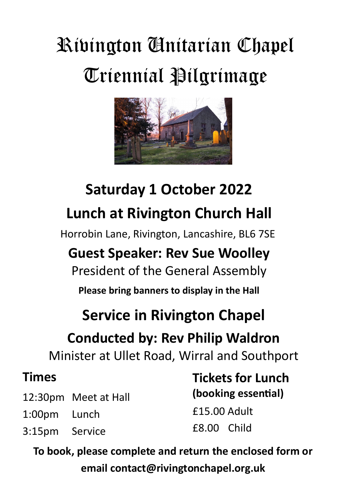# Rivington Unitarian Chapel Triennial Pilgrimage



# **Saturday 1 October 2022 Lunch at Rivington Church Hall**

Horrobin Lane, Rivington, Lancashire, BL6 7SE

# **Guest Speaker: Rev Sue Woolley**

President of the General Assembly

**Please bring banners to display in the Hall**

# **Service in Rivington Chapel**

# **Conducted by: Rev Philip Waldron**

Minister at Ullet Road, Wirral and Southport

#### **Times**

- 12:30pm Meet at Hall
- 1:00pm Lunch
- 3:15pm Service

**Tickets for Lunch (booking essential)** £15.00 Adult £8.00 Child

**To book, please complete and return the enclosed form or email contact@rivingtonchapel.org.uk**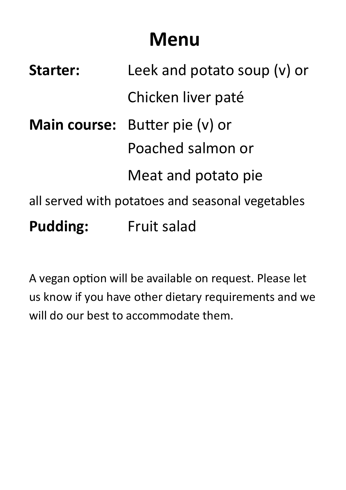# **Menu**

| <b>Starter:</b>                                  | Leek and potato soup (v) or           |  |  |  |
|--------------------------------------------------|---------------------------------------|--|--|--|
|                                                  | Chicken liver paté                    |  |  |  |
|                                                  | <b>Main course:</b> Butter pie (v) or |  |  |  |
|                                                  | Poached salmon or                     |  |  |  |
|                                                  | Meat and potato pie                   |  |  |  |
| all served with potatoes and seasonal vegetables |                                       |  |  |  |
| <b>Pudding:</b>                                  | <b>Fruit salad</b>                    |  |  |  |

A vegan option will be available on request. Please let us know if you have other dietary requirements and we will do our best to accommodate them.